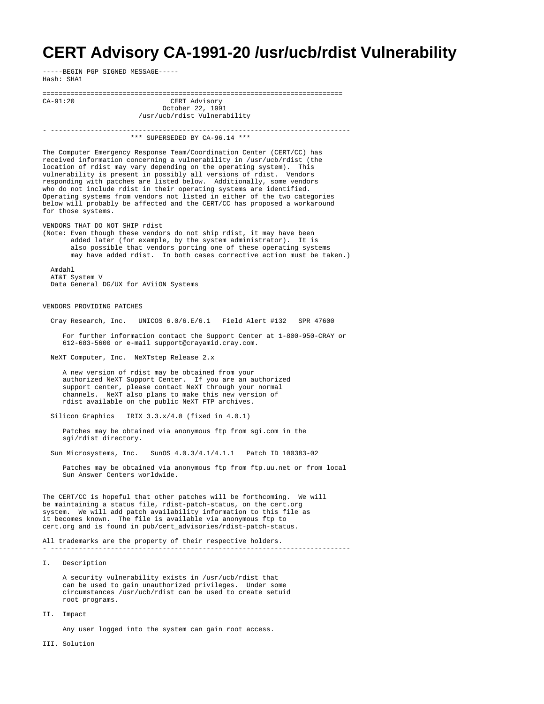## **CERT Advisory CA-1991-20 /usr/ucb/rdist Vulnerability**

-----BEGIN PGP SIGNED MESSAGE----- Hash: SHA1

III. Solution

=========================================================================== CERT Advisory October 22, 1991 /usr/ucb/rdist Vulnerability - --------------------------------------------------------------------------- \*\*\* SUPERSEDED BY CA-96.14 \*\*\* The Computer Emergency Response Team/Coordination Center (CERT/CC) has received information concerning a vulnerability in /usr/ucb/rdist (the location of rdist may vary depending on the operating system). This vulnerability is present in possibly all versions of rdist. Vendors responding with patches are listed below. Additionally, some vendors who do not include rdist in their operating systems are identified. Operating systems from vendors not listed in either of the two categories below will probably be affected and the CERT/CC has proposed a workaround for those systems. VENDORS THAT DO NOT SHIP rdist (Note: Even though these vendors do not ship rdist, it may have been added later (for example, by the system administrator). It is also possible that vendors porting one of these operating systems may have added rdist. In both cases corrective action must be taken.) Amdahl AT&T System V Data General DG/UX for AViiON Systems VENDORS PROVIDING PATCHES Cray Research, Inc. UNICOS 6.0/6.E/6.1 Field Alert #132 SPR 47600 For further information contact the Support Center at 1-800-950-CRAY or 612-683-5600 or e-mail support@crayamid.cray.com. NeXT Computer, Inc. NeXTstep Release 2.x A new version of rdist may be obtained from your authorized NeXT Support Center. If you are an authorized support center, please contact NeXT through your normal channels. NeXT also plans to make this new version of rdist available on the public NeXT FTP archives. Silicon Graphics IRIX 3.3.x/4.0 (fixed in 4.0.1) Patches may be obtained via anonymous ftp from sgi.com in the sgi/rdist directory. Sun Microsystems, Inc. SunOS 4.0.3/4.1/4.1.1 Patch ID 100383-02 Patches may be obtained via anonymous ftp from ftp.uu.net or from local Sun Answer Centers worldwide. The CERT/CC is hopeful that other patches will be forthcoming. We will be maintaining a status file, rdist-patch-status, on the cert.org system. We will add patch availability information to this file as it becomes known. The file is available via anonymous ftp to cert.org and is found in pub/cert\_advisories/rdist-patch-status. All trademarks are the property of their respective holders. - --------------------------------------------------------------------------- I. Description A security vulnerability exists in /usr/ucb/rdist that can be used to gain unauthorized privileges. Under some circumstances /usr/ucb/rdist can be used to create setuid root programs. II. Impact Any user logged into the system can gain root access.